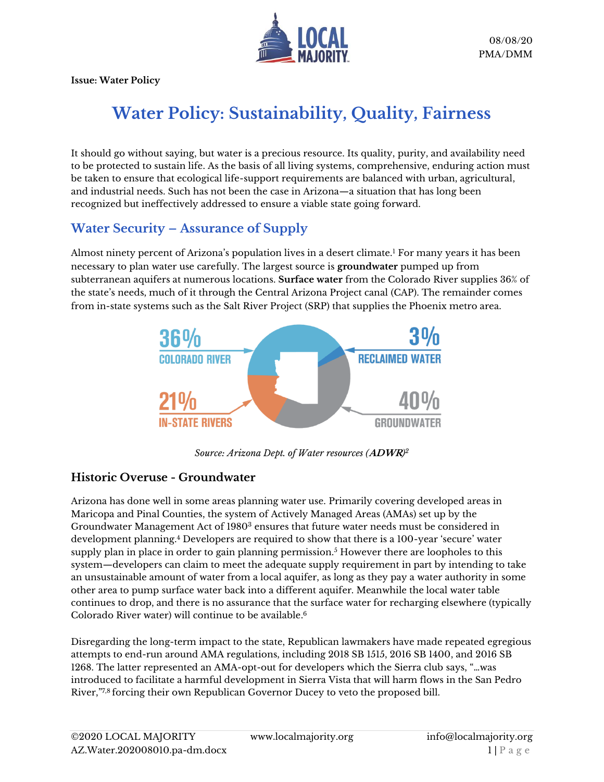

**Issue: Water Policy**

# **Water Policy: Sustainability, Quality, Fairness**

It should go without saying, but water is a precious resource. Its quality, purity, and availability need to be protected to sustain life. As the basis of all living systems, comprehensive, enduring action must be taken to ensure that ecological life-support requirements are balanced with urban, agricultural, and industrial needs. Such has not been the case in Arizona—a situation that has long been recognized but ineffectively addressed to ensure a viable state going forward.

### **Water Security – Assurance of Supply**

Almost ninety percent of Arizona's population lives in a desert climate.<sup>1</sup> For many years it has been necessary to plan water use carefully. The largest source is **groundwater** pumped up from subterranean aquifers at numerous locations. **Surface water** from the Colorado River supplies 36% of the state's needs, much of it through the Central Arizona Project canal (CAP). The remainder comes from in-state systems such as the Salt River Project (SRP) that supplies the Phoenix metro area.



*Source: Arizona Dept. of Water resources (***ADWR***) 2*

### **Historic Overuse - Groundwater**

Arizona has done well in some areas planning water use. Primarily covering developed areas in Maricopa and Pinal Counties, the system of Actively Managed Areas (AMAs) set up by the Groundwater Management Act of 1980<sup>3</sup> ensures that future water needs must be considered in development planning.<sup>4</sup> Developers are required to show that there is a 100-year 'secure' water supply plan in place in order to gain planning permission.<sup>5</sup> However there are loopholes to this system—developers can claim to meet the adequate supply requirement in part by intending to take an unsustainable amount of water from a local aquifer, as long as they pay a water authority in some other area to pump surface water back into a different aquifer. Meanwhile the local water table continues to drop, and there is no assurance that the surface water for recharging elsewhere (typically Colorado River water) will continue to be available. 6

Disregarding the long-term impact to the state, Republican lawmakers have made repeated egregious attempts to end-run around AMA regulations, including 2018 SB 1515, 2016 SB 1400, and 2016 SB 1268. The latter represented an AMA-opt-out for developers which the Sierra club says, "…was introduced to facilitate a harmful development in Sierra Vista that will harm flows in the San Pedro River," 7,8 forcing their own Republican Governor Ducey to veto the proposed bill.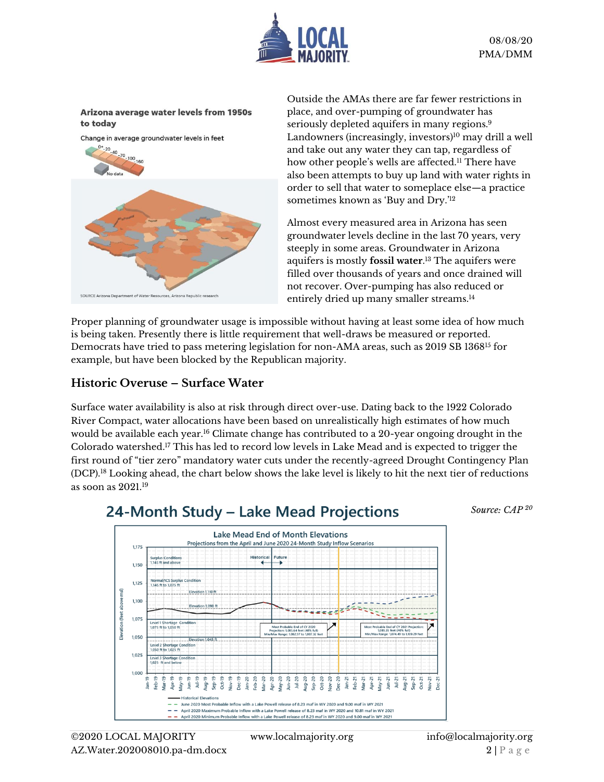

#### Arizona average water levels from 1950s to today



Outside the AMAs there are far fewer restrictions in place, and over-pumping of groundwater has seriously depleted aquifers in many regions.<sup>9</sup> Landowners (increasingly, investors) <sup>10</sup> may drill a well and take out any water they can tap, regardless of how other people's wells are affected.<sup>11</sup> There have also been attempts to buy up land with water rights in order to sell that water to someplace else—a practice sometimes known as 'Buy and Dry.' 12

Almost every measured area in Arizona has seen groundwater levels decline in the last 70 years, very steeply in some areas. Groundwater in Arizona aquifers is mostly **fossil water**. <sup>13</sup> The aquifers were filled over thousands of years and once drained will not recover. Over-pumping has also reduced or entirely dried up many smaller streams.<sup>14</sup>

Proper planning of groundwater usage is impossible without having at least some idea of how much is being taken. Presently there is little requirement that well-draws be measured or reported. Democrats have tried to pass metering legislation for non-AMA areas, such as 2019 SB 1368<sup>15</sup> for example, but have been blocked by the Republican majority.

#### **Historic Overuse – Surface Water**

Surface water availability is also at risk through direct over-use. Dating back to the 1922 Colorado River Compact, water allocations have been based on unrealistically high estimates of how much would be available each year.<sup>16</sup> Climate change has contributed to a 20-year ongoing drought in the Colorado watershed. <sup>17</sup> This has led to record low levels in Lake Mead and is expected to trigger the first round of "tier zero" mandatory water cuts under the recently-agreed Drought Contingency Plan (DCP). <sup>18</sup> Looking ahead, the chart below shows the lake level is likely to hit the next tier of reductions as soon as 2021.<sup>19</sup>

### 24-Month Study - Lake Mead Projections

*Source: CAP <sup>20</sup>*

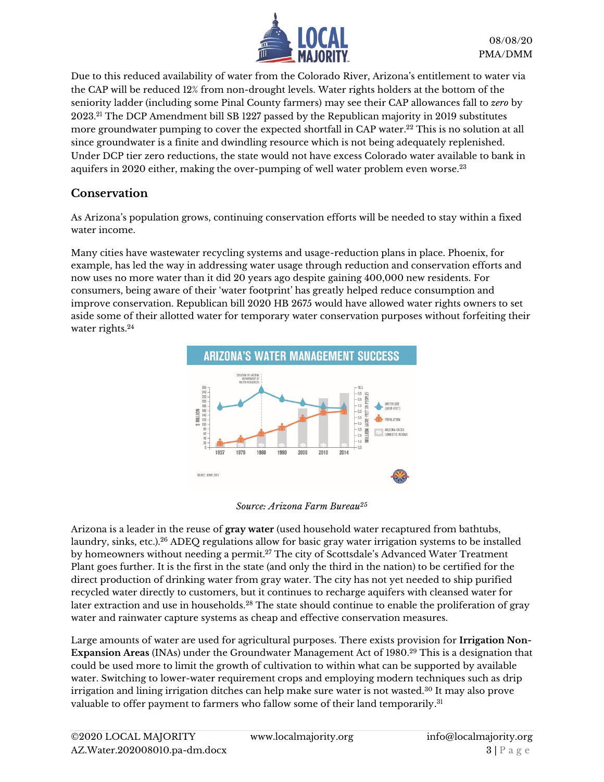

Due to this reduced availability of water from the Colorado River, Arizona's entitlement to water via the CAP will be reduced 12% from non-drought levels. Water rights holders at the bottom of the seniority ladder (including some Pinal County farmers) may see their CAP allowances fall to *zero* by  $2023.^{21}\!\!\operatorname{The DCP}\nolimits$  Amendment bill SB 1227 passed by the Republican majority in  $2019$  substitutes more groundwater pumping to cover the expected shortfall in CAP water. <sup>22</sup> This is no solution at all since groundwater is a finite and dwindling resource which is not being adequately replenished. Under DCP tier zero reductions, the state would not have excess Colorado water available to bank in aquifers in 2020 either, making the over-pumping of well water problem even worse.<sup>23</sup>

#### **Conservation**

As Arizona's population grows, continuing conservation efforts will be needed to stay within a fixed water income.

Many cities have wastewater recycling systems and usage-reduction plans in place. Phoenix, for example, has led the way in addressing water usage through reduction and conservation efforts and now uses no more water than it did 20 years ago despite gaining 400,000 new residents. For consumers, being aware of their 'water footprint' has greatly helped reduce consumption and improve conservation. Republican bill 2020 HB 2675 would have allowed water rights owners to set aside some of their allotted water for temporary water conservation purposes without forfeiting their water rights.<sup>24</sup>





Arizona is a leader in the reuse of **gray water** (used household water recaptured from bathtubs, laundry, sinks, etc.). <sup>26</sup> ADEQ regulations allow for basic gray water irrigation systems to be installed by homeowners without needing a permit.<sup>27</sup> The city of Scottsdale's Advanced Water Treatment Plant goes further. It is the first in the state (and only the third in the nation) to be certified for the direct production of drinking water from gray water. The city has not yet needed to ship purified recycled water directly to customers, but it continues to recharge aquifers with cleansed water for later extraction and use in households.<sup>28</sup> The state should continue to enable the proliferation of gray water and rainwater capture systems as cheap and effective conservation measures.

Large amounts of water are used for agricultural purposes. There exists provision for **Irrigation Non-Expansion Areas** (INAs) under the Groundwater Management Act of 1980.<sup>29</sup> This is a designation that could be used more to limit the growth of cultivation to within what can be supported by available water. Switching to lower-water requirement crops and employing modern techniques such as drip irrigation and lining irrigation ditches can help make sure water is not wasted.<sup>30</sup> It may also prove valuable to offer payment to farmers who fallow some of their land temporarily. 31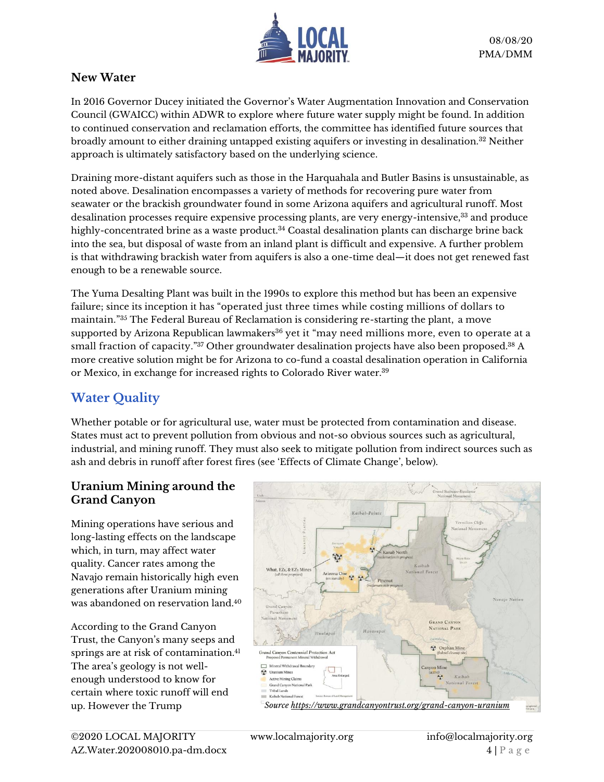

#### **New Water**

In 2016 Governor Ducey initiated the Governor's Water Augmentation Innovation and Conservation Council (GWAICC) within ADWR to explore where future water supply might be found. In addition to continued conservation and reclamation efforts, the committee has identified future sources that broadly amount to either draining untapped existing aquifers or investing in desalination.<sup>32</sup> Neither approach is ultimately satisfactory based on the underlying science.

Draining more-distant aquifers such as those in the Harquahala and Butler Basins is unsustainable, as noted above. Desalination encompasses a variety of methods for recovering pure water from seawater or the brackish groundwater found in some Arizona aquifers and agricultural runoff. Most desalination processes require expensive processing plants, are very energy-intensive, <sup>33</sup> and produce highly-concentrated brine as a waste product.<sup>34</sup> Coastal desalination plants can discharge brine back into the sea, but disposal of waste from an inland plant is difficult and expensive. A further problem is that withdrawing brackish water from aquifers is also a one-time deal—it does not get renewed fast enough to be a renewable source.

The Yuma Desalting Plant was built in the 1990s to explore this method but has been an expensive failure; since its inception it has "operated just three times while costing millions of dollars to maintain."<sup>35</sup> The Federal Bureau of Reclamation is considering re-starting the plant, a move supported by Arizona Republican lawmakers $36$  yet it "may need millions more, even to operate at a small fraction of capacity." $^{37}$  Other groundwater desalination projects have also been proposed. $^{38}$  A more creative solution might be for Arizona to co-fund a coastal desalination operation in California or Mexico, in exchange for increased rights to Colorado River water.<sup>39</sup>

### **Water Quality**

Whether potable or for agricultural use, water must be protected from contamination and disease. States must act to prevent pollution from obvious and not-so obvious sources such as agricultural, industrial, and mining runoff. They must also seek to mitigate pollution from indirect sources such as ash and debris in runoff after forest fires (see 'Effects of Climate Change', below).

#### **Uranium Mining around the Grand Canyon**

Mining operations have serious and long-lasting effects on the landscape which, in turn, may affect water quality. Cancer rates among the Navajo remain historically high even generations after Uranium mining was abandoned on reservation land 40

According to the Grand Canyon Trust, the Canyon's many seeps and springs are at risk of contamination.<sup>41</sup> The area's geology is not wellenough understood to know for certain where toxic runoff will end

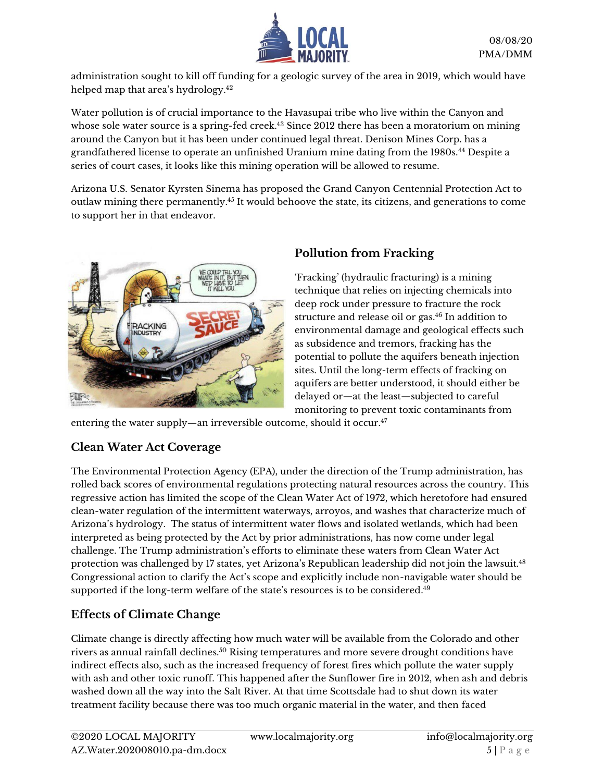

administration sought to kill off funding for a geologic survey of the area in 2019, which would have helped map that area's hydrology. 42

Water pollution is of crucial importance to the Havasupai tribe who live within the Canyon and whose sole water source is a spring-fed creek.<sup>43</sup> Since 2012 there has been a moratorium on mining around the Canyon but it has been under continued legal threat. Denison Mines Corp. has a grandfathered license to operate an unfinished Uranium mine dating from the 1980s.<sup>44</sup> Despite a series of court cases, it looks like this mining operation will be allowed to resume.

Arizona U.S. Senator Kyrsten Sinema has proposed the Grand Canyon Centennial Protection Act to outlaw mining there permanently. <sup>45</sup> It would behoove the state, its citizens, and generations to come to support her in that endeavor.



### **Pollution from Fracking**

'Fracking' (hydraulic fracturing) is a mining technique that relies on injecting chemicals into deep rock under pressure to fracture the rock structure and release oil or gas.<sup>46</sup> In addition to environmental damage and geological effects such as subsidence and tremors, fracking has the potential to pollute the aquifers beneath injection sites. Until the long-term effects of fracking on aquifers are better understood, it should either be delayed or—at the least—subjected to careful monitoring to prevent toxic contaminants from

entering the water supply—an irreversible outcome, should it occur. 47

### **Clean Water Act Coverage**

The Environmental Protection Agency (EPA), under the direction of the Trump administration, has rolled back scores of environmental regulations protecting natural resources across the country. This regressive action has limited the scope of the Clean Water Act of 1972, which heretofore had ensured clean-water regulation of the intermittent waterways, arroyos, and washes that characterize much of Arizona's hydrology. The status of intermittent water flows and isolated wetlands, which had been interpreted as being protected by the Act by prior administrations, has now come under legal challenge. The Trump administration's efforts to eliminate these waters from Clean Water Act protection was challenged by 17 states, yet Arizona's Republican leadership did not join the lawsuit.<sup>48</sup> Congressional action to clarify the Act's scope and explicitly include non-navigable water should be supported if the long-term welfare of the state's resources is to be considered. 49

### **Effects of Climate Change**

Climate change is directly affecting how much water will be available from the Colorado and other rivers as annual rainfall declines.<sup>50</sup> Rising temperatures and more severe drought conditions have indirect effects also, such as the increased frequency of forest fires which pollute the water supply with ash and other toxic runoff. This happened after the Sunflower fire in 2012, when ash and debris washed down all the way into the Salt River. At that time Scottsdale had to shut down its water treatment facility because there was too much organic material in the water, and then faced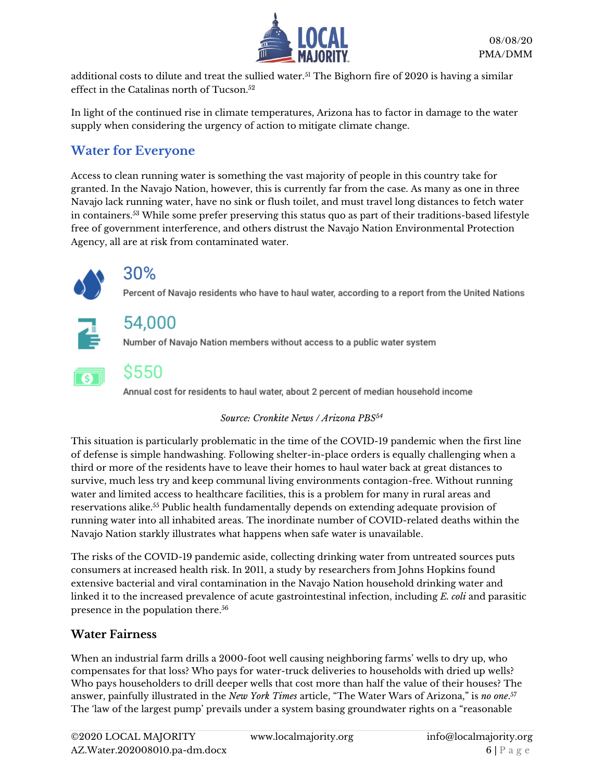

additional costs to dilute and treat the sullied water.<sup>51</sup> The Bighorn fire of 2020 is having a similar effect in the Catalinas north of Tucson.<sup>52</sup>

In light of the continued rise in climate temperatures, Arizona has to factor in damage to the water supply when considering the urgency of action to mitigate climate change.

### **Water for Everyone**

Access to clean running water is something the vast majority of people in this country take for granted. In the Navajo Nation, however, this is currently far from the case. As many as one in three Navajo lack running water, have no sink or flush toilet, and must travel long distances to fetch water in containers.<sup>53</sup> While some prefer preserving this status quo as part of their traditions-based lifestyle free of government interference, and others distrust the Navajo Nation Environmental Protection Agency, all are at risk from contaminated water.



### 30%

Percent of Navajo residents who have to haul water, according to a report from the United Nations



## 54.000

Number of Navajo Nation members without access to a public water system



### S550

Annual cost for residents to haul water, about 2 percent of median household income

#### *Source: Cronkite News / Arizona PBS<sup>54</sup>*

This situation is particularly problematic in the time of the COVID-19 pandemic when the first line of defense is simple handwashing. Following shelter-in-place orders is equally challenging when a third or more of the residents have to leave their homes to haul water back at great distances to survive, much less try and keep communal living environments contagion-free. Without running water and limited access to healthcare facilities, this is a problem for many in rural areas and reservations alike. <sup>55</sup> Public health fundamentally depends on extending adequate provision of running water into all inhabited areas. The inordinate number of COVID-related deaths within the Navajo Nation starkly illustrates what happens when safe water is unavailable.

The risks of the COVID-19 pandemic aside, collecting drinking water from untreated sources puts consumers at increased health risk. In 2011, a study by researchers from Johns Hopkins found extensive bacterial and viral contamination in the Navajo Nation household drinking water and linked it to the increased prevalence of acute gastrointestinal infection, including *E. coli* and parasitic presence in the population there.<sup>56</sup>

### **Water Fairness**

When an industrial farm drills a 2000-foot well causing neighboring farms' wells to dry up, who compensates for that loss? Who pays for water-truck deliveries to households with dried up wells? Who pays householders to drill deeper wells that cost more than half the value of their houses? The answer, painfully illustrated in the *New York Times* article, "The Water Wars of Arizona," is *no one*. 57 The 'law of the largest pump' prevails under a system basing groundwater rights on a "reasonable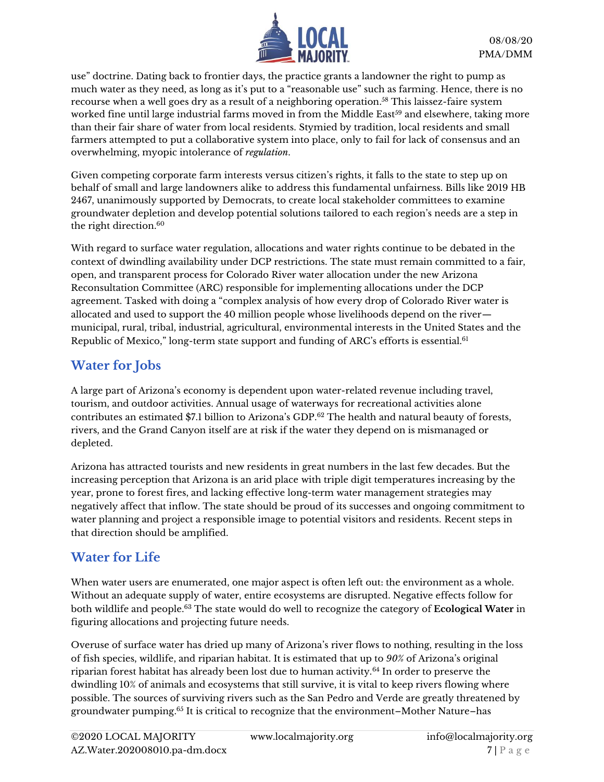

use" doctrine. Dating back to frontier days, the practice grants a landowner the right to pump as much water as they need, as long as it's put to a "reasonable use" such as farming. Hence, there is no recourse when a well goes dry as a result of a neighboring operation. <sup>58</sup> This laissez-faire system worked fine until large industrial farms moved in from the Middle East<sup>59</sup> and elsewhere, taking more than their fair share of water from local residents. Stymied by tradition, local residents and small farmers attempted to put a collaborative system into place, only to fail for lack of consensus and an overwhelming, myopic intolerance of *regulation*.

Given competing corporate farm interests versus citizen's rights, it falls to the state to step up on behalf of small and large landowners alike to address this fundamental unfairness. Bills like 2019 HB 2467, unanimously supported by Democrats, to create local stakeholder committees to examine groundwater depletion and develop potential solutions tailored to each region's needs are a step in the right direction. 60

With regard to surface water regulation, allocations and water rights continue to be debated in the context of dwindling availability under DCP restrictions. The state must remain committed to a fair, open, and transparent process for Colorado River water allocation under the new Arizona Reconsultation Committee (ARC) responsible for implementing allocations under the DCP agreement. Tasked with doing a "complex analysis of how every drop of Colorado River water is allocated and used to support the 40 million people whose livelihoods depend on the river municipal, rural, tribal, industrial, agricultural, environmental interests in the United States and the Republic of Mexico," long-term state support and funding of ARC's efforts is essential.<sup>61</sup>

### **Water for Jobs**

A large part of Arizona's economy is dependent upon water-related revenue including travel, tourism, and outdoor activities. Annual usage of waterways for recreational activities alone contributes an estimated \$7.1 billion to Arizona's GDP.<sup>62</sup> The health and natural beauty of forests, rivers, and the Grand Canyon itself are at risk if the water they depend on is mismanaged or depleted.

Arizona has attracted tourists and new residents in great numbers in the last few decades. But the increasing perception that Arizona is an arid place with triple digit temperatures increasing by the year, prone to forest fires, and lacking effective long-term water management strategies may negatively affect that inflow. The state should be proud of its successes and ongoing commitment to water planning and project a responsible image to potential visitors and residents. Recent steps in that direction should be amplified.

### **Water for Life**

When water users are enumerated, one major aspect is often left out: the environment as a whole. Without an adequate supply of water, entire ecosystems are disrupted. Negative effects follow for both wildlife and people.<sup>63</sup> The state would do well to recognize the category of **Ecological Water** in figuring allocations and projecting future needs.

Overuse of surface water has dried up many of Arizona's river flows to nothing, resulting in the loss of fish species, wildlife, and riparian habitat. It is estimated that up to *90%* of Arizona's original riparian forest habitat has already been lost due to human activity.<sup>64</sup> In order to preserve the dwindling 10% of animals and ecosystems that still survive, it is vital to keep rivers flowing where possible. The sources of surviving rivers such as the San Pedro and Verde are greatly threatened by groundwater pumping. <sup>65</sup> It is critical to recognize that the environment–Mother Nature–has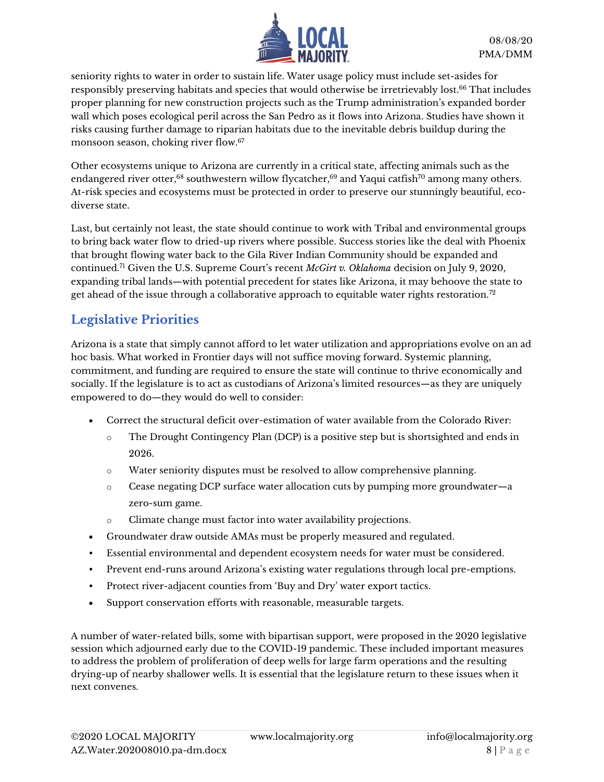

seniority rights to water in order to sustain life. Water usage policy must include set-asides for responsibly preserving habitats and species that would otherwise be irretrievably lost.<sup>66</sup> That includes proper planning for new construction projects such as the Trump administration's expanded border wall which poses ecological peril across the San Pedro as it flows into Arizona. Studies have shown it risks causing further damage to riparian habitats due to the inevitable debris buildup during the monsoon season, choking river flow.<sup>67</sup>

Other ecosystems unique to Arizona are currently in a critical state, affecting animals such as the endangered river otter,<sup>68</sup> southwestern willow flycatcher,<sup>69</sup> and Yaqui catfish<sup>70</sup> among many others. At-risk species and ecosystems must be protected in order to preserve our stunningly beautiful, ecodiverse state.

Last, but certainly not least, the state should continue to work with Tribal and environmental groups to bring back water flow to dried-up rivers where possible. Success stories like the deal with Phoenix that brought flowing water back to the Gila River Indian Community should be expanded and continued.<sup>71</sup> Given the U.S. Supreme Court's recent *McGirt v. Oklahoma* decision on July 9, 2020, expanding tribal lands—with potential precedent for states like Arizona, it may behoove the state to get ahead of the issue through a collaborative approach to equitable water rights restoration.<sup>72</sup>

### **Legislative Priorities**

Arizona is a state that simply cannot afford to let water utilization and appropriations evolve on an ad hoc basis. What worked in Frontier days will not suffice moving forward. Systemic planning, commitment, and funding are required to ensure the state will continue to thrive economically and socially. If the legislature is to act as custodians of Arizona's limited resources—as they are uniquely empowered to do—they would do well to consider:

- Correct the structural deficit over-estimation of water available from the Colorado River:
	- o The Drought Contingency Plan (DCP) is a positive step but is shortsighted and ends in 2026.
	- $\circ$  Water seniority disputes must be resolved to allow comprehensive planning.
	- o Cease negating DCP surface water allocation cuts by pumping more groundwater—a zero-sum game.
	- o Climate change must factor into water availability projections.
- Groundwater draw outside AMAs must be properly measured and regulated.
- Essential environmental and dependent ecosystem needs for water must be considered.
- Prevent end-runs around Arizona's existing water regulations through local pre-emptions.
- Protect river-adjacent counties from 'Buy and Dry' water export tactics.
- Support conservation efforts with reasonable, measurable targets.

A number of water-related bills, some with bipartisan support, were proposed in the 2020 legislative session which adjourned early due to the COVID-19 pandemic. These included important measures to address the problem of proliferation of deep wells for large farm operations and the resulting drying-up of nearby shallower wells. It is essential that the legislature return to these issues when it next convenes.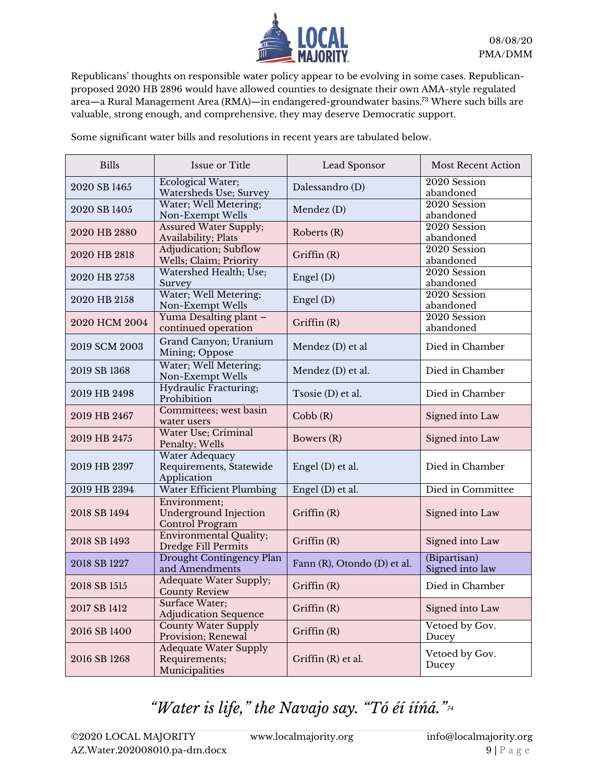

Republicans' thoughts on responsible water policy appear to be evolving in some cases. Republicanproposed 2020 HB 2896 would have allowed counties to designate their own AMA-style regulated area—a Rural Management Area (RMA)—in endangered-groundwater basins.<sup>73</sup> Where such bills are valuable, strong enough, and comprehensive, they may deserve Democratic support.

Some significant water bills and resolutions in recent years are tabulated below.

| <b>Bills</b>  | Issue or Title                                                  | Lead Sponsor                | <b>Most Recent Action</b>       |
|---------------|-----------------------------------------------------------------|-----------------------------|---------------------------------|
| 2020 SB 1465  | Ecological Water;<br>Watersheds Use; Survey                     | Dalessandro (D)             | 2020 Session<br>abandoned       |
| 2020 SB 1405  | Water; Well Metering;<br>Non-Exempt Wells                       | Mendez (D)                  | 2020 Session<br>abandoned       |
| 2020 HB 2880  | <b>Assured Water Supply;</b><br>Availability; Plats             | Roberts (R)                 | 2020 Session<br>abandoned       |
| 2020 HB 2818  | Adjudication; Subflow<br>Wells; Claim; Priority                 | Griffin (R)                 | 2020 Session<br>abandoned       |
| 2020 HB 2758  | Watershed Health; Use;<br>Survey                                | Engel (D)                   | 2020 Session<br>abandoned       |
| 2020 HB 2158  | Water; Well Metering;<br>Non-Exempt Wells                       | Engel (D)                   | 2020 Session<br>abandoned       |
| 2020 HCM 2004 | Yuma Desalting plant -<br>continued operation                   | Griffin (R)                 | 2020 Session<br>abandoned       |
| 2019 SCM 2003 | Grand Canyon; Uranium<br>Mining; Oppose                         | Mendez (D) et al            | Died in Chamber                 |
| 2019 SB 1368  | Water; Well Metering;<br>Non-Exempt Wells                       | Mendez (D) et al.           | Died in Chamber                 |
| 2019 HB 2498  | Hydraulic Fracturing;<br>Prohibition                            | Tsosie (D) et al.           | Died in Chamber                 |
| 2019 HB 2467  | Committees; west basin<br>water users                           | Cobb(R)                     | Signed into Law                 |
| 2019 HB 2475  | Water Use; Criminal<br>Penalty; Wells                           | Bowers (R)                  | Signed into Law                 |
| 2019 HB 2397  | Water Adequacy<br>Requirements, Statewide<br>Application        | Engel (D) et al.            | Died in Chamber                 |
| 2019 HB 2394  | Water Efficient Plumbing                                        | Engel (D) et al.            | Died in Committee               |
| 2018 SB 1494  | Environment;<br>Underground Injection<br><b>Control Program</b> | Griffin (R)                 | Signed into Law                 |
| 2018 SB 1493  | <b>Environmental Quality;</b><br>Dredge Fill Permits            | Griffin (R)                 | Signed into Law                 |
| 2018 SB 1227  | Drought Contingency Plan<br>and Amendments                      | Fann (R), Otondo (D) et al. | (Bipartisan)<br>Signed into law |
| 2018 SB 1515  | Adequate Water Supply;<br><b>County Review</b>                  | Griffin (R)                 | Died in Chamber                 |
| 2017 SB 1412  | Surface Water;<br><b>Adjudication Sequence</b>                  | Griffin (R)                 | Signed into Law                 |
| 2016 SB 1400  | <b>County Water Supply</b><br>Provision; Renewal                | Griffin $(R)$               | Vetoed by Gov.<br>Ducey         |
| 2016 SB 1268  | <b>Adequate Water Supply</b><br>Requirements;<br>Municipalities | Griffin (R) et al.          | Vetoed by Gov.<br>Ducey         |

## *"Water is life," the Navajo say. "Tó éí ííńá."74*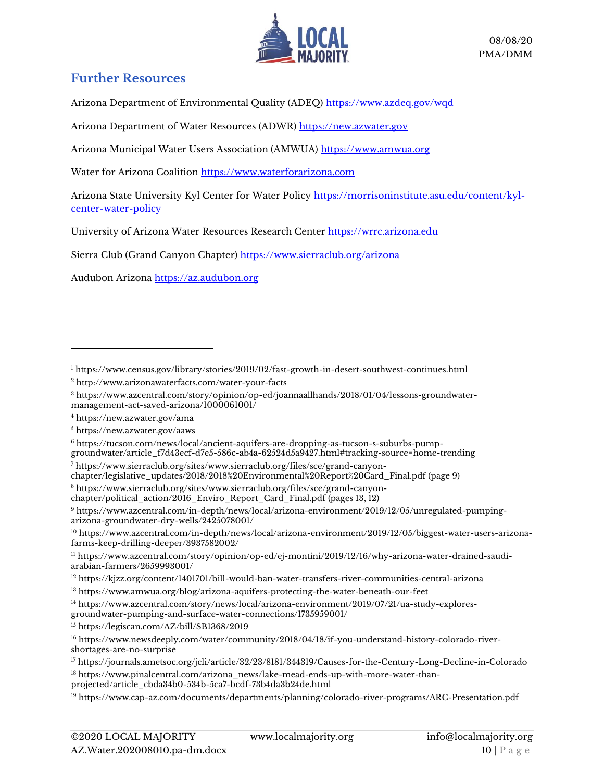

### **Further Resources**

Arizona Department of Environmental Quality (ADEQ) <https://www.azdeq.gov/wqd>

Arizona Department of Water Resources (ADWR) [https://new.azwater.gov](https://new.azwater.gov/)

Arizona Municipal Water Users Association (AMWUA) [https://www.amwua.org](https://www.amwua.org/)

Water for Arizona Coalition [https://www.waterforarizona.com](https://www.waterforarizona.com/)

Arizona State University Kyl Center for Water Policy [https://morrisoninstitute.asu.edu/content/kyl](https://morrisoninstitute.asu.edu/content/kyl-center-water-policy)[center-water-policy](https://morrisoninstitute.asu.edu/content/kyl-center-water-policy)

University of Arizona Water Resources Research Center https://wrrc.arizona.edu

Sierra Club (Grand Canyon Chapter) <https://www.sierraclub.org/arizona>

Audubon Arizona [https://az.audubon.org](https://az.audubon.org/)

<sup>5</sup> <https://new.azwater.gov/aaws>

<sup>6</sup> [https://tucson.com/news/local/ancient-aquifers-are-dropping-as-tucson-s-suburbs-pump](https://tucson.com/news/local/ancient-aquifers-are-dropping-as-tucson-s-suburbs-pump-groundwater/article_f7d43ecf-d7e5-586c-ab4a-62524d5a9427.html#tracking-source=home-trending)[groundwater/article\\_f7d43ecf-d7e5-586c-ab4a-62524d5a9427.html#tracking-source=home-trending](https://tucson.com/news/local/ancient-aquifers-are-dropping-as-tucson-s-suburbs-pump-groundwater/article_f7d43ecf-d7e5-586c-ab4a-62524d5a9427.html#tracking-source=home-trending)

<sup>7</sup> [https://www.sierraclub.org/sites/www.sierraclub.org/files/sce/grand-canyon-](https://www.sierraclub.org/sites/www.sierraclub.org/files/sce/grand-canyon-chapter/legislative_updates/2018/2018%20Environmental%20Report%20Card_Final.pdf)

[chapter/legislative\\_updates/2018/2018%20Environmental%20Report%20Card\\_Final.pdf](https://www.sierraclub.org/sites/www.sierraclub.org/files/sce/grand-canyon-chapter/legislative_updates/2018/2018%20Environmental%20Report%20Card_Final.pdf) (page 9)

<sup>8</sup> [https://www.sierraclub.org/sites/www.sierraclub.org/files/sce/grand-canyon-](https://www.sierraclub.org/sites/www.sierraclub.org/files/sce/grand-canyon-chapter/political_action/2016_Enviro_Report_Card_Final.pdf)

[chapter/political\\_action/2016\\_Enviro\\_Report\\_Card\\_Final.pdf](https://www.sierraclub.org/sites/www.sierraclub.org/files/sce/grand-canyon-chapter/political_action/2016_Enviro_Report_Card_Final.pdf) (pages 13, 12)

<sup>9</sup> [https://www.azcentral.com/in-depth/news/local/arizona-environment/2019/12/05/unregulated-pumping](https://www.azcentral.com/in-depth/news/local/arizona-environment/2019/12/05/unregulated-pumping-arizona-groundwater-dry-wells/2425078001/)[arizona-groundwater-dry-wells/2425078001/](https://www.azcentral.com/in-depth/news/local/arizona-environment/2019/12/05/unregulated-pumping-arizona-groundwater-dry-wells/2425078001/)

<sup>10</sup> [https://www.azcentral.com/in-depth/news/local/arizona-environment/2019/12/05/biggest-water-users-arizona](https://www.azcentral.com/in-depth/news/local/arizona-environment/2019/12/05/biggest-water-users-arizona-farms-keep-drilling-deeper/3937582002/)[farms-keep-drilling-deeper/3937582002/](https://www.azcentral.com/in-depth/news/local/arizona-environment/2019/12/05/biggest-water-users-arizona-farms-keep-drilling-deeper/3937582002/)

<sup>11</sup> [https://www.azcentral.com/story/opinion/op-ed/ej-montini/2019/12/16/why-arizona-water-drained-saudi](https://www.azcentral.com/story/opinion/op-ed/ej-montini/2019/12/16/why-arizona-water-drained-saudi-arabian-farmers/2659993001/)[arabian-farmers/2659993001/](https://www.azcentral.com/story/opinion/op-ed/ej-montini/2019/12/16/why-arizona-water-drained-saudi-arabian-farmers/2659993001/)

<sup>12</sup> <https://kjzz.org/content/1401701/bill-would-ban-water-transfers-river-communities-central-arizona>

<sup>13</sup> <https://www.amwua.org/blog/arizona-aquifers-protecting-the-water-beneath-our-feet>

<sup>14</sup> [https://www.azcentral.com/story/news/local/arizona-environment/2019/07/21/ua-study-explores](https://www.azcentral.com/story/news/local/arizona-environment/2019/07/21/ua-study-explores-groundwater-pumping-and-surface-water-connections/1735959001/)[groundwater-pumping-and-surface-water-connections/1735959001/](https://www.azcentral.com/story/news/local/arizona-environment/2019/07/21/ua-study-explores-groundwater-pumping-and-surface-water-connections/1735959001/)

<sup>15</sup> <https://legiscan.com/AZ/bill/SB1368/2019>

<sup>1</sup> <https://www.census.gov/library/stories/2019/02/fast-growth-in-desert-southwest-continues.html>

<sup>2</sup> <http://www.arizonawaterfacts.com/water-your-facts>

<sup>3</sup> [https://www.azcentral.com/story/opinion/op-ed/joannaallhands/2018/01/04/lessons-groundwater](https://www.azcentral.com/story/opinion/op-ed/joannaallhands/2018/01/04/lessons-groundwater-management-act-saved-arizona/1000061001/)[management-act-saved-arizona/1000061001/](https://www.azcentral.com/story/opinion/op-ed/joannaallhands/2018/01/04/lessons-groundwater-management-act-saved-arizona/1000061001/)

<sup>4</sup> <https://new.azwater.gov/ama>

<sup>16</sup> https://www.newsdeeply.com/water/community/2018/04/18/if-you-understand-history-colorado-rivershortages-are-no-surprise

<sup>17</sup> <https://journals.ametsoc.org/jcli/article/32/23/8181/344319/Causes-for-the-Century-Long-Decline-in-Colorado> <sup>18</sup> [https://www.pinalcentral.com/arizona\\_news/lake-mead-ends-up-with-more-water-than-](https://www.pinalcentral.com/arizona_news/lake-mead-ends-up-with-more-water-than-projected/article_cbda34b0-534b-5ca7-bcdf-73b4da3b24de.html)

[projected/article\\_cbda34b0-534b-5ca7-bcdf-73b4da3b24de.html](https://www.pinalcentral.com/arizona_news/lake-mead-ends-up-with-more-water-than-projected/article_cbda34b0-534b-5ca7-bcdf-73b4da3b24de.html)

<sup>19</sup> <https://www.cap-az.com/documents/departments/planning/colorado-river-programs/ARC-Presentation.pdf>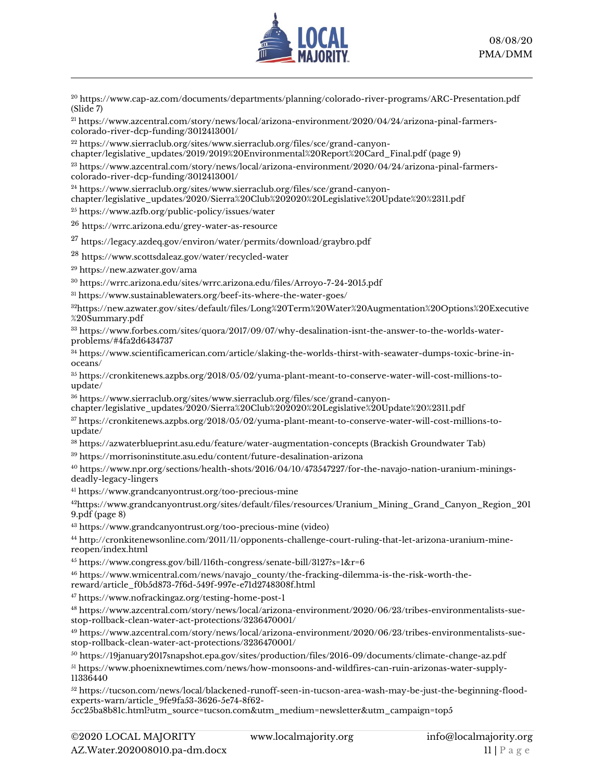

<sup>20</sup> <https://www.cap-az.com/documents/departments/planning/colorado-river-programs/ARC-Presentation.pdf> (Slide 7)

<sup>21</sup> [https://www.azcentral.com/story/news/local/arizona-environment/2020/04/24/arizona-pinal-farmers](https://www.azcentral.com/story/news/local/arizona-environment/2020/04/24/arizona-pinal-farmers-colorado-river-dcp-funding/3012413001/)[colorado-river-dcp-funding/3012413001/](https://www.azcentral.com/story/news/local/arizona-environment/2020/04/24/arizona-pinal-farmers-colorado-river-dcp-funding/3012413001/)

<sup>22</sup> [https://www.sierraclub.org/sites/www.sierraclub.org/files/sce/grand-canyon-](https://www.sierraclub.org/sites/www.sierraclub.org/files/sce/grand-canyon-chapter/legislative_updates/2019/2019%20Environmental%20Report%20Card_Final.pdf)

[chapter/legislative\\_updates/2019/2019%20Environmental%20Report%20Card\\_Final.pdf](https://www.sierraclub.org/sites/www.sierraclub.org/files/sce/grand-canyon-chapter/legislative_updates/2019/2019%20Environmental%20Report%20Card_Final.pdf) (page 9)

<sup>23</sup> [https://www.azcentral.com/story/news/local/arizona-environment/2020/04/24/arizona-pinal-farmers](https://www.azcentral.com/story/news/local/arizona-environment/2020/04/24/arizona-pinal-farmers-colorado-river-dcp-funding/3012413001/)[colorado-river-dcp-funding/3012413001/](https://www.azcentral.com/story/news/local/arizona-environment/2020/04/24/arizona-pinal-farmers-colorado-river-dcp-funding/3012413001/)

<sup>24</sup> [https://www.sierraclub.org/sites/www.sierraclub.org/files/sce/grand-canyon-](https://www.sierraclub.org/sites/www.sierraclub.org/files/sce/grand-canyon-chapter/legislative_updates/2020/Sierra%20Club%202020%20Legislative%20Update%20%2311.pdf)

[chapter/legislative\\_updates/2020/Sierra%20Club%202020%20Legislative%20Update%20%2311.pdf](https://www.sierraclub.org/sites/www.sierraclub.org/files/sce/grand-canyon-chapter/legislative_updates/2020/Sierra%20Club%202020%20Legislative%20Update%20%2311.pdf)

<sup>25</sup> <https://www.azfb.org/public-policy/issues/water>

<sup>26</sup> <https://wrrc.arizona.edu/grey-water-as-resource>

 $^{27}$  <https://legacy.azdeq.gov/environ/water/permits/download/graybro.pdf>

<sup>28</sup> <https://www.scottsdaleaz.gov/water/recycled-water>

<sup>29</sup> <https://new.azwater.gov/ama>

<sup>30</sup> <https://wrrc.arizona.edu/sites/wrrc.arizona.edu/files/Arroyo-7-24-2015.pdf>

<sup>31</sup> <https://www.sustainablewaters.org/beef-its-where-the-water-goes/>

<sup>32</sup>[https://new.azwater.gov/sites/default/files/Long%20Term%20Water%20Augmentation%20Options%20Executive](https://new.azwater.gov/sites/default/files/Long%20Term%20Water%20Augmentation%20Options%20Executive%20Summary.pdf) [%20Summary.pdf](https://new.azwater.gov/sites/default/files/Long%20Term%20Water%20Augmentation%20Options%20Executive%20Summary.pdf)

<sup>33</sup> [https://www.forbes.com/sites/quora/2017/09/07/why-desalination-isnt-the-answer-to-the-worlds-water](https://www.forbes.com/sites/quora/2017/09/07/why-desalination-isnt-the-answer-to-the-worlds-water-problems/#4fa2d6434737)[problems/#4fa2d6434737](https://www.forbes.com/sites/quora/2017/09/07/why-desalination-isnt-the-answer-to-the-worlds-water-problems/#4fa2d6434737)

<sup>34</sup> [https://www.scientificamerican.com/article/slaking-the-worlds-thirst-with-seawater-dumps-toxic-brine-in](https://www.scientificamerican.com/article/slaking-the-worlds-thirst-with-seawater-dumps-toxic-brine-in-oceans/)[oceans/](https://www.scientificamerican.com/article/slaking-the-worlds-thirst-with-seawater-dumps-toxic-brine-in-oceans/)

<sup>35</sup> [https://cronkitenews.azpbs.org/2018/05/02/yuma-plant-meant-to-conserve-water-will-cost-millions-to](https://cronkitenews.azpbs.org/2018/05/02/yuma-plant-meant-to-conserve-water-will-cost-millions-to-update/)[update/](https://cronkitenews.azpbs.org/2018/05/02/yuma-plant-meant-to-conserve-water-will-cost-millions-to-update/)

<sup>36</sup> [https://www.sierraclub.org/sites/www.sierraclub.org/files/sce/grand-canyon-](https://www.sierraclub.org/sites/www.sierraclub.org/files/sce/grand-canyon-chapter/legislative_updates/2020/Sierra%20Club%202020%20Legislative%20Update%20%2311.pdf)

[chapter/legislative\\_updates/2020/Sierra%20Club%202020%20Legislative%20Update%20%2311.pdf](https://www.sierraclub.org/sites/www.sierraclub.org/files/sce/grand-canyon-chapter/legislative_updates/2020/Sierra%20Club%202020%20Legislative%20Update%20%2311.pdf)

<sup>37</sup> [https://cronkitenews.azpbs.org/2018/05/02/yuma-plant-meant-to-conserve-water-will-cost-millions-to](https://cronkitenews.azpbs.org/2018/05/02/yuma-plant-meant-to-conserve-water-will-cost-millions-to-update/)[update/](https://cronkitenews.azpbs.org/2018/05/02/yuma-plant-meant-to-conserve-water-will-cost-millions-to-update/)

<sup>38</sup> <https://azwaterblueprint.asu.edu/feature/water-augmentation-concepts> (Brackish Groundwater Tab)

<sup>39</sup> <https://morrisoninstitute.asu.edu/content/future-desalination-arizona>

<sup>40</sup> [https://www.npr.org/sections/health-shots/2016/04/10/473547227/for-the-navajo-nation-uranium-minings](https://www.npr.org/sections/health-shots/2016/04/10/473547227/for-the-navajo-nation-uranium-minings-deadly-legacy-lingers)[deadly-legacy-lingers](https://www.npr.org/sections/health-shots/2016/04/10/473547227/for-the-navajo-nation-uranium-minings-deadly-legacy-lingers)

<sup>41</sup> <https://www.grandcanyontrust.org/too-precious-mine>

<sup>42</sup>[https://www.grandcanyontrust.org/sites/default/files/resources/Uranium\\_Mining\\_Grand\\_Canyon\\_Region\\_201](https://www.grandcanyontrust.org/sites/default/files/resources/Uranium_Mining_Grand_Canyon_Region_2019.pdf) [9.pdf](https://www.grandcanyontrust.org/sites/default/files/resources/Uranium_Mining_Grand_Canyon_Region_2019.pdf) (page 8)

<sup>43</sup> <https://www.grandcanyontrust.org/too-precious-mine> (video)

<sup>44</sup> [http://cronkitenewsonline.com/2011/11/opponents-challenge-court-ruling-that-let-arizona-uranium-mine](http://cronkitenewsonline.com/2011/11/opponents-challenge-court-ruling-that-let-arizona-uranium-mine-reopen/index.html)[reopen/index.html](http://cronkitenewsonline.com/2011/11/opponents-challenge-court-ruling-that-let-arizona-uranium-mine-reopen/index.html)

<sup>45</sup> <https://www.congress.gov/bill/116th-congress/senate-bill/3127?s=1&r=6>

<sup>46</sup> [https://www.wmicentral.com/news/navajo\\_county/the-fracking-dilemma-is-the-risk-worth-the](https://www.wmicentral.com/news/navajo_county/the-fracking-dilemma-is-the-risk-worth-the-reward/article_f0b5d873-7f6d-549f-997e-e71d2748308f.html)[reward/article\\_f0b5d873-7f6d-549f-997e-e71d2748308f.html](https://www.wmicentral.com/news/navajo_county/the-fracking-dilemma-is-the-risk-worth-the-reward/article_f0b5d873-7f6d-549f-997e-e71d2748308f.html)

<sup>47</sup> <https://www.nofrackingaz.org/testing-home-post-1>

<sup>48</sup> [https://www.azcentral.com/story/news/local/arizona-environment/2020/06/23/tribes-environmentalists-sue](https://www.azcentral.com/story/news/local/arizona-environment/2020/06/23/tribes-environmentalists-sue-stop-rollback-clean-water-act-protections/3236470001/)[stop-rollback-clean-water-act-protections/3236470001/](https://www.azcentral.com/story/news/local/arizona-environment/2020/06/23/tribes-environmentalists-sue-stop-rollback-clean-water-act-protections/3236470001/)

<sup>49</sup> [https://www.azcentral.com/story/news/local/arizona-environment/2020/06/23/tribes-environmentalists-sue](https://www.azcentral.com/story/news/local/arizona-environment/2020/06/23/tribes-environmentalists-sue-stop-rollback-clean-water-act-protections/3236470001/)[stop-rollback-clean-water-act-protections/3236470001/](https://www.azcentral.com/story/news/local/arizona-environment/2020/06/23/tribes-environmentalists-sue-stop-rollback-clean-water-act-protections/3236470001/)

<sup>50</sup> <https://19january2017snapshot.epa.gov/sites/production/files/2016-09/documents/climate-change-az.pdf>

<sup>51</sup> [https://www.phoenixnewtimes.com/news/how-monsoons-and-wildfires-can-ruin-arizonas-water-supply-](https://www.phoenixnewtimes.com/news/how-monsoons-and-wildfires-can-ruin-arizonas-water-supply-11336440)[11336440](https://www.phoenixnewtimes.com/news/how-monsoons-and-wildfires-can-ruin-arizonas-water-supply-11336440)

<sup>52</sup> [https://tucson.com/news/local/blackened-runoff-seen-in-tucson-area-wash-may-be-just-the-beginning-flood](https://tucson.com/news/local/blackened-runoff-seen-in-tucson-area-wash-may-be-just-the-beginning-flood-experts-warn/article_9fe9fa53-3626-5e74-8f62-5cc25ba8b81c.html?utm_source=tucson.com&utm_medium=newsletter&utm_campaign=top5)[experts-warn/article\\_9fe9fa53-3626-5e74-8f62-](https://tucson.com/news/local/blackened-runoff-seen-in-tucson-area-wash-may-be-just-the-beginning-flood-experts-warn/article_9fe9fa53-3626-5e74-8f62-5cc25ba8b81c.html?utm_source=tucson.com&utm_medium=newsletter&utm_campaign=top5)

[5cc25ba8b81c.html?utm\\_source=tucson.com&utm\\_medium=newsletter&utm\\_campaign=top5](https://tucson.com/news/local/blackened-runoff-seen-in-tucson-area-wash-may-be-just-the-beginning-flood-experts-warn/article_9fe9fa53-3626-5e74-8f62-5cc25ba8b81c.html?utm_source=tucson.com&utm_medium=newsletter&utm_campaign=top5)